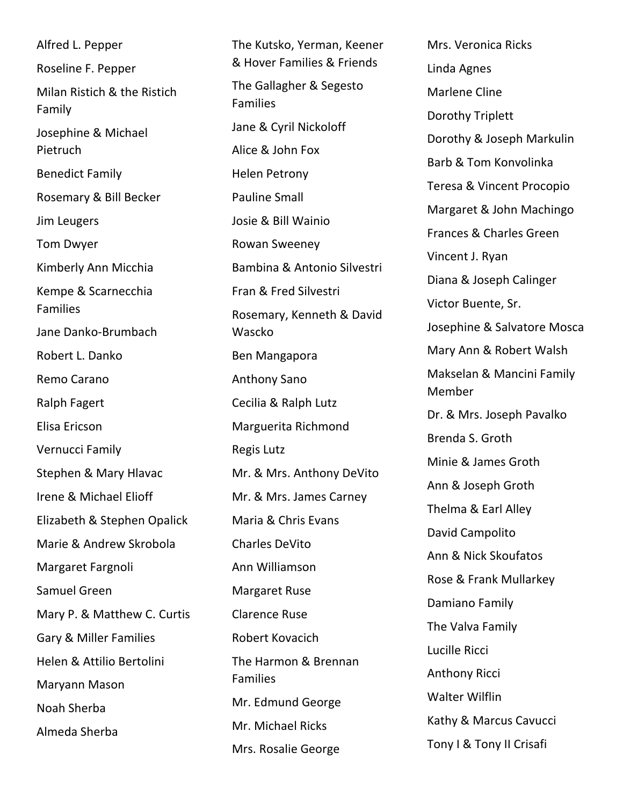Alfred L. Pepper Roseline F. Pepper Milan Ristich & the Ristich Family Josephine & Michael Pietruch Benedict Family Rosemary & Bill Becker Jim Leugers Tom Dwyer Kimberly Ann Micchia Kempe & Scarnecchia Families Jane Danko-Brumbach Robert L. Danko Remo Carano Ralph Fagert Elisa Ericson Vernucci Family Stephen & Mary Hlavac Irene & Michael Elioff Elizabeth & Stephen Opalick Marie & Andrew Skrobola Margaret Fargnoli Samuel Green Mary P. & Matthew C. Curtis Gary & Miller Families Helen & Attilio Bertolini Maryann Mason Noah Sherba Almeda Sherba

The Kutsko, Yerman, Keener & Hover Families & Friends The Gallagher & Segesto Families Jane & Cyril Nickoloff Alice & John Fox Helen Petrony Pauline Small Josie & Bill Wainio Rowan Sweeney Bambina & Antonio Silvestri Fran & Fred Silvestri Rosemary, Kenneth & David Wascko Ben Mangapora Anthony Sano Cecilia & Ralph Lutz Marguerita Richmond Regis Lutz Mr. & Mrs. Anthony DeVito Mr. & Mrs. James Carney Maria & Chris Evans Charles DeVito Ann Williamson Margaret Ruse Clarence Ruse Robert Kovacich The Harmon & Brennan Families Mr. Edmund George Mr. Michael Ricks Mrs. Rosalie George

Mrs. Veronica Ricks Linda Agnes Marlene Cline Dorothy Triplett Dorothy & Joseph Markulin Barb & Tom Konvolinka Teresa & Vincent Procopio Margaret & John Machingo Frances & Charles Green Vincent J. Ryan Diana & Joseph Calinger Victor Buente, Sr. Josephine & Salvatore Mosca Mary Ann & Robert Walsh Makselan & Mancini Family Member Dr. & Mrs. Joseph Pavalko Brenda S. Groth Minie & James Groth Ann & Joseph Groth Thelma & Earl Alley David Campolito Ann & Nick Skoufatos Rose & Frank Mullarkey Damiano Family The Valva Family Lucille Ricci Anthony Ricci Walter Wilflin Kathy & Marcus Cavucci Tony I & Tony II Crisafi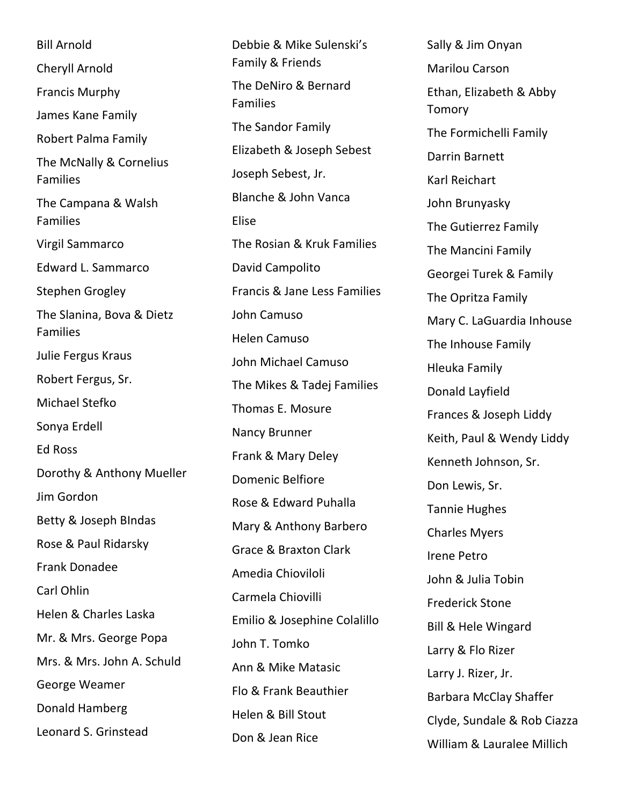Bill Arnold Cheryll Arnold Francis Murphy James Kane Family Robert Palma Family The McNally & Cornelius Families The Campana & Walsh Families Virgil Sammarco Edward L. Sammarco Stephen Grogley The Slanina, Bova & Dietz Families Julie Fergus Kraus Robert Fergus, Sr. Michael Stefko Sonya Erdell Ed Ross Dorothy & Anthony Mueller Jim Gordon Betty & Joseph BIndas Rose & Paul Ridarsky Frank Donadee Carl Ohlin Helen & Charles Laska Mr. & Mrs. George Popa Mrs. & Mrs. John A. Schuld George Weamer Donald Hamberg Leonard S. Grinstead

Debbie & Mike Sulenski's Family & Friends The DeNiro & Bernard Families The Sandor Family Elizabeth & Joseph Sebest Joseph Sebest, Jr. Blanche & John Vanca Elise The Rosian & Kruk Families David Campolito Francis & Jane Less Families John Camuso Helen Camuso John Michael Camuso The Mikes & Tadej Families Thomas E. Mosure Nancy Brunner Frank & Mary Deley Domenic Belfiore Rose & Edward Puhalla Mary & Anthony Barbero Grace & Braxton Clark Amedia Chioviloli Carmela Chiovilli Emilio & Josephine Colalillo John T. Tomko Ann & Mike Matasic Flo & Frank Beauthier Helen & Bill Stout Don & Jean Rice

Sally & Jim Onyan Marilou Carson Ethan, Elizabeth & Abby Tomory The Formichelli Family Darrin Barnett Karl Reichart John Brunyasky The Gutierrez Family The Mancini Family Georgei Turek & Family The Opritza Family Mary C. LaGuardia Inhouse The Inhouse Family Hleuka Family Donald Layfield Frances & Joseph Liddy Keith, Paul & Wendy Liddy Kenneth Johnson, Sr. Don Lewis, Sr. Tannie Hughes Charles Myers Irene Petro John & Julia Tobin Frederick Stone Bill & Hele Wingard Larry & Flo Rizer Larry J. Rizer, Jr. Barbara McClay Shaffer Clyde, Sundale & Rob Ciazza William & Lauralee Millich